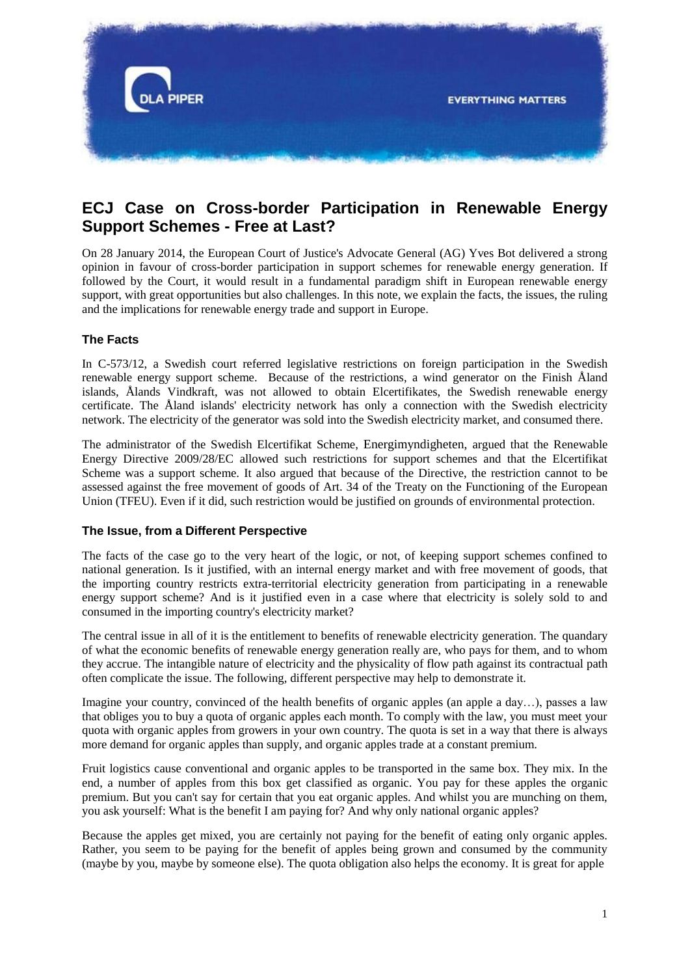

# **ECJ Case on Cross-border Participation in Renewable Energy Support Schemes - Free at Last?**

On 28 January 2014, the European Court of Justice's Advocate General (AG) Yves Bot delivered a strong opinion in favour of cross-border participation in support schemes for renewable energy generation. If followed by the Court, it would result in a fundamental paradigm shift in European renewable energy support, with great opportunities but also challenges. In this note, we explain the facts, the issues, the ruling and the implications for renewable energy trade and support in Europe.

# **The Facts**

In C-573/12, a Swedish court referred legislative restrictions on foreign participation in the Swedish renewable energy support scheme. Because of the restrictions, a wind generator on the Finish Åland islands, Ålands Vindkraft, was not allowed to obtain Elcertifikates, the Swedish renewable energy certificate. The Åland islands' electricity network has only a connection with the Swedish electricity network. The electricity of the generator was sold into the Swedish electricity market, and consumed there.

The administrator of the Swedish Elcertifikat Scheme, Energimyndigheten, argued that the Renewable Energy Directive 2009/28/EC allowed such restrictions for support schemes and that the Elcertifikat Scheme was a support scheme. It also argued that because of the Directive, the restriction cannot to be assessed against the free movement of goods of Art. 34 of the Treaty on the Functioning of the European Union (TFEU). Even if it did, such restriction would be justified on grounds of environmental protection.

## **The Issue, from a Different Perspective**

The facts of the case go to the very heart of the logic, or not, of keeping support schemes confined to national generation. Is it justified, with an internal energy market and with free movement of goods, that the importing country restricts extra-territorial electricity generation from participating in a renewable energy support scheme? And is it justified even in a case where that electricity is solely sold to and consumed in the importing country's electricity market?

The central issue in all of it is the entitlement to benefits of renewable electricity generation. The quandary of what the economic benefits of renewable energy generation really are, who pays for them, and to whom they accrue. The intangible nature of electricity and the physicality of flow path against its contractual path often complicate the issue. The following, different perspective may help to demonstrate it.

Imagine your country, convinced of the health benefits of organic apples (an apple a day…), passes a law that obliges you to buy a quota of organic apples each month. To comply with the law, you must meet your quota with organic apples from growers in your own country. The quota is set in a way that there is always more demand for organic apples than supply, and organic apples trade at a constant premium.

Fruit logistics cause conventional and organic apples to be transported in the same box. They mix. In the end, a number of apples from this box get classified as organic. You pay for these apples the organic premium. But you can't say for certain that you eat organic apples. And whilst you are munching on them, you ask yourself: What is the benefit I am paying for? And why only national organic apples?

Because the apples get mixed, you are certainly not paying for the benefit of eating only organic apples. Rather, you seem to be paying for the benefit of apples being grown and consumed by the community (maybe by you, maybe by someone else). The quota obligation also helps the economy. It is great for apple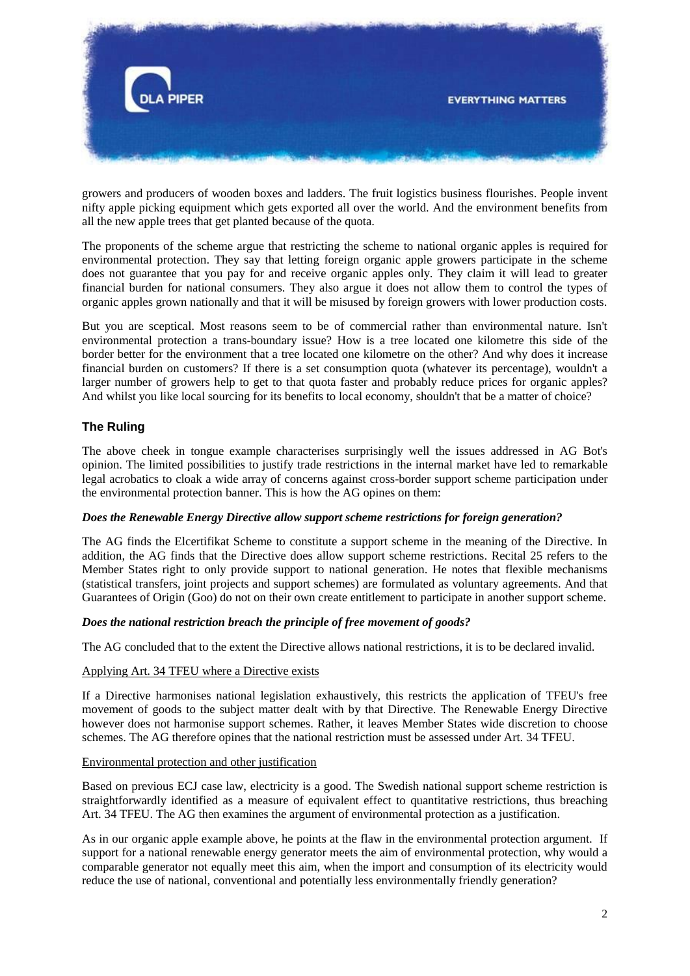

growers and producers of wooden boxes and ladders. The fruit logistics business flourishes. People invent nifty apple picking equipment which gets exported all over the world. And the environment benefits from all the new apple trees that get planted because of the quota.

The proponents of the scheme argue that restricting the scheme to national organic apples is required for environmental protection. They say that letting foreign organic apple growers participate in the scheme does not guarantee that you pay for and receive organic apples only. They claim it will lead to greater financial burden for national consumers. They also argue it does not allow them to control the types of organic apples grown nationally and that it will be misused by foreign growers with lower production costs.

But you are sceptical. Most reasons seem to be of commercial rather than environmental nature. Isn't environmental protection a trans-boundary issue? How is a tree located one kilometre this side of the border better for the environment that a tree located one kilometre on the other? And why does it increase financial burden on customers? If there is a set consumption quota (whatever its percentage), wouldn't a larger number of growers help to get to that quota faster and probably reduce prices for organic apples? And whilst you like local sourcing for its benefits to local economy, shouldn't that be a matter of choice?

# **The Ruling**

The above cheek in tongue example characterises surprisingly well the issues addressed in AG Bot's opinion. The limited possibilities to justify trade restrictions in the internal market have led to remarkable legal acrobatics to cloak a wide array of concerns against cross-border support scheme participation under the environmental protection banner. This is how the AG opines on them:

## *Does the Renewable Energy Directive allow support scheme restrictions for foreign generation?*

The AG finds the Elcertifikat Scheme to constitute a support scheme in the meaning of the Directive. In addition, the AG finds that the Directive does allow support scheme restrictions. Recital 25 refers to the Member States right to only provide support to national generation. He notes that flexible mechanisms (statistical transfers, joint projects and support schemes) are formulated as voluntary agreements. And that Guarantees of Origin (Goo) do not on their own create entitlement to participate in another support scheme.

#### *Does the national restriction breach the principle of free movement of goods?*

The AG concluded that to the extent the Directive allows national restrictions, it is to be declared invalid.

#### Applying Art. 34 TFEU where a Directive exists

If a Directive harmonises national legislation exhaustively, this restricts the application of TFEU's free movement of goods to the subject matter dealt with by that Directive. The Renewable Energy Directive however does not harmonise support schemes. Rather, it leaves Member States wide discretion to choose schemes. The AG therefore opines that the national restriction must be assessed under Art. 34 TFEU.

#### Environmental protection and other justification

Based on previous ECJ case law, electricity is a good. The Swedish national support scheme restriction is straightforwardly identified as a measure of equivalent effect to quantitative restrictions, thus breaching Art. 34 TFEU. The AG then examines the argument of environmental protection as a justification.

As in our organic apple example above, he points at the flaw in the environmental protection argument. If support for a national renewable energy generator meets the aim of environmental protection, why would a comparable generator not equally meet this aim, when the import and consumption of its electricity would reduce the use of national, conventional and potentially less environmentally friendly generation?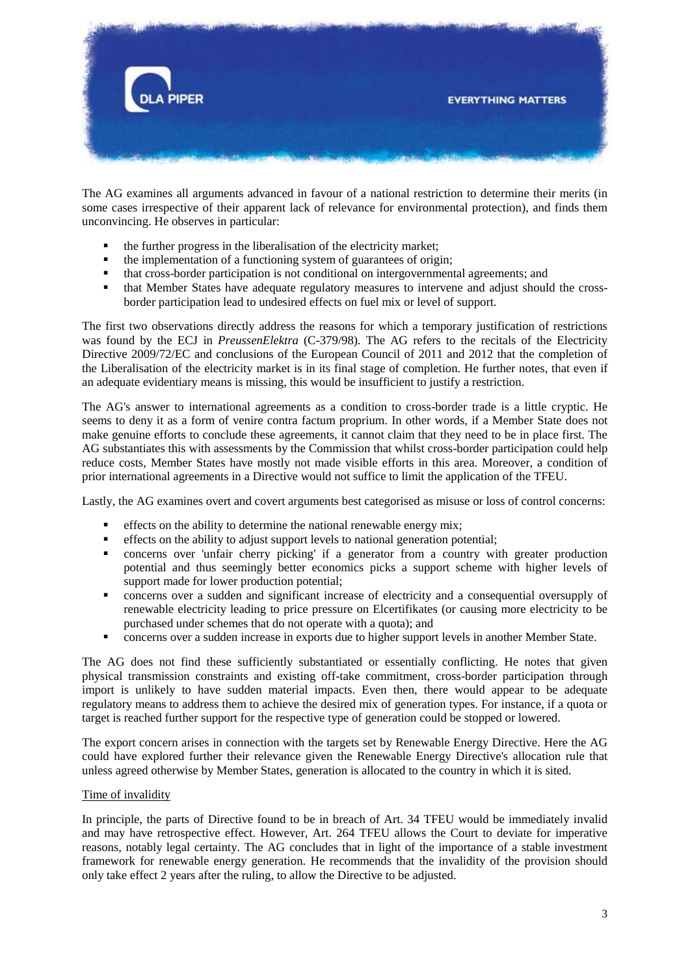

The AG examines all arguments advanced in favour of a national restriction to determine their merits (in some cases irrespective of their apparent lack of relevance for environmental protection), and finds them unconvincing. He observes in particular:

- the further progress in the liberalisation of the electricity market;
- $\blacksquare$  the implementation of a functioning system of guarantees of origin;
- that cross-border participation is not conditional on intergovernmental agreements; and
- that Member States have adequate regulatory measures to intervene and adjust should the crossborder participation lead to undesired effects on fuel mix or level of support.

The first two observations directly address the reasons for which a temporary justification of restrictions was found by the ECJ in *PreussenElektra* (C-379/98). The AG refers to the recitals of the Electricity Directive 2009/72/EC and conclusions of the European Council of 2011 and 2012 that the completion of the Liberalisation of the electricity market is in its final stage of completion. He further notes, that even if an adequate evidentiary means is missing, this would be insufficient to justify a restriction.

The AG's answer to international agreements as a condition to cross-border trade is a little cryptic. He seems to deny it as a form of venire contra factum proprium. In other words, if a Member State does not make genuine efforts to conclude these agreements, it cannot claim that they need to be in place first. The AG substantiates this with assessments by the Commission that whilst cross-border participation could help reduce costs, Member States have mostly not made visible efforts in this area. Moreover, a condition of prior international agreements in a Directive would not suffice to limit the application of the TFEU.

Lastly, the AG examines overt and covert arguments best categorised as misuse or loss of control concerns:

- effects on the ability to determine the national renewable energy mix;
- effects on the ability to adjust support levels to national generation potential;
- concerns over 'unfair cherry picking' if a generator from a country with greater production potential and thus seemingly better economics picks a support scheme with higher levels of support made for lower production potential;
- concerns over a sudden and significant increase of electricity and a consequential oversupply of renewable electricity leading to price pressure on Elcertifikates (or causing more electricity to be purchased under schemes that do not operate with a quota); and
- concerns over a sudden increase in exports due to higher support levels in another Member State.

The AG does not find these sufficiently substantiated or essentially conflicting. He notes that given physical transmission constraints and existing off-take commitment, cross-border participation through import is unlikely to have sudden material impacts. Even then, there would appear to be adequate regulatory means to address them to achieve the desired mix of generation types. For instance, if a quota or target is reached further support for the respective type of generation could be stopped or lowered.

The export concern arises in connection with the targets set by Renewable Energy Directive. Here the AG could have explored further their relevance given the Renewable Energy Directive's allocation rule that unless agreed otherwise by Member States, generation is allocated to the country in which it is sited.

## Time of invalidity

In principle, the parts of Directive found to be in breach of Art. 34 TFEU would be immediately invalid and may have retrospective effect. However, Art. 264 TFEU allows the Court to deviate for imperative reasons, notably legal certainty. The AG concludes that in light of the importance of a stable investment framework for renewable energy generation. He recommends that the invalidity of the provision should only take effect 2 years after the ruling, to allow the Directive to be adjusted.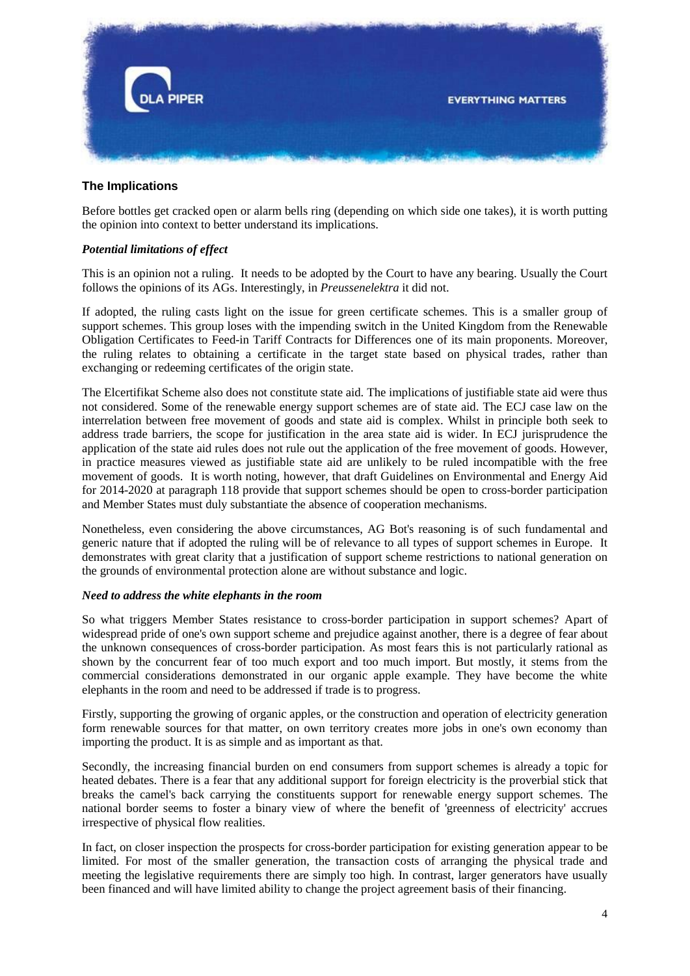

## **The Implications**

Before bottles get cracked open or alarm bells ring (depending on which side one takes), it is worth putting the opinion into context to better understand its implications.

### *Potential limitations of effect*

This is an opinion not a ruling. It needs to be adopted by the Court to have any bearing. Usually the Court follows the opinions of its AGs. Interestingly, in *Preussenelektra* it did not.

If adopted, the ruling casts light on the issue for green certificate schemes. This is a smaller group of support schemes. This group loses with the impending switch in the United Kingdom from the Renewable Obligation Certificates to Feed-in Tariff Contracts for Differences one of its main proponents. Moreover, the ruling relates to obtaining a certificate in the target state based on physical trades, rather than exchanging or redeeming certificates of the origin state.

The Elcertifikat Scheme also does not constitute state aid. The implications of justifiable state aid were thus not considered. Some of the renewable energy support schemes are of state aid. The ECJ case law on the interrelation between free movement of goods and state aid is complex. Whilst in principle both seek to address trade barriers, the scope for justification in the area state aid is wider. In ECJ jurisprudence the application of the state aid rules does not rule out the application of the free movement of goods. However, in practice measures viewed as justifiable state aid are unlikely to be ruled incompatible with the free movement of goods. It is worth noting, however, that draft Guidelines on Environmental and Energy Aid for 2014-2020 at paragraph 118 provide that support schemes should be open to cross-border participation and Member States must duly substantiate the absence of cooperation mechanisms.

Nonetheless, even considering the above circumstances, AG Bot's reasoning is of such fundamental and generic nature that if adopted the ruling will be of relevance to all types of support schemes in Europe. It demonstrates with great clarity that a justification of support scheme restrictions to national generation on the grounds of environmental protection alone are without substance and logic.

#### *Need to address the white elephants in the room*

So what triggers Member States resistance to cross-border participation in support schemes? Apart of widespread pride of one's own support scheme and prejudice against another, there is a degree of fear about the unknown consequences of cross-border participation. As most fears this is not particularly rational as shown by the concurrent fear of too much export and too much import. But mostly, it stems from the commercial considerations demonstrated in our organic apple example. They have become the white elephants in the room and need to be addressed if trade is to progress.

Firstly, supporting the growing of organic apples, or the construction and operation of electricity generation form renewable sources for that matter, on own territory creates more jobs in one's own economy than importing the product. It is as simple and as important as that.

Secondly, the increasing financial burden on end consumers from support schemes is already a topic for heated debates. There is a fear that any additional support for foreign electricity is the proverbial stick that breaks the camel's back carrying the constituents support for renewable energy support schemes. The national border seems to foster a binary view of where the benefit of 'greenness of electricity' accrues irrespective of physical flow realities.

In fact, on closer inspection the prospects for cross-border participation for existing generation appear to be limited. For most of the smaller generation, the transaction costs of arranging the physical trade and meeting the legislative requirements there are simply too high. In contrast, larger generators have usually been financed and will have limited ability to change the project agreement basis of their financing.